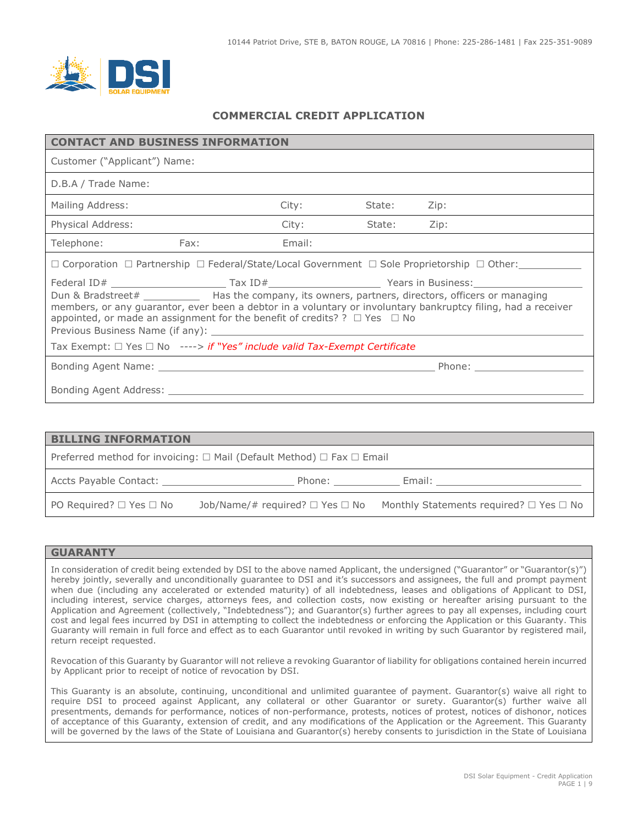

## **COMMERCIAL CREDIT APPLICATION**

| <b>CONTACT AND BUSINESS INFORMATION</b>                                                                                                                                                                                                                                                                                                                                                                                                                                                                                                           |                                                                                                                      |        |        |      |  |  |
|---------------------------------------------------------------------------------------------------------------------------------------------------------------------------------------------------------------------------------------------------------------------------------------------------------------------------------------------------------------------------------------------------------------------------------------------------------------------------------------------------------------------------------------------------|----------------------------------------------------------------------------------------------------------------------|--------|--------|------|--|--|
| Customer ("Applicant") Name:                                                                                                                                                                                                                                                                                                                                                                                                                                                                                                                      |                                                                                                                      |        |        |      |  |  |
| D.B.A / Trade Name:                                                                                                                                                                                                                                                                                                                                                                                                                                                                                                                               |                                                                                                                      |        |        |      |  |  |
| Mailing Address:                                                                                                                                                                                                                                                                                                                                                                                                                                                                                                                                  |                                                                                                                      | City:  | State: | Zip: |  |  |
| Physical Address:                                                                                                                                                                                                                                                                                                                                                                                                                                                                                                                                 |                                                                                                                      | City:  | State: | Zip: |  |  |
| Telephone:<br>Fax:                                                                                                                                                                                                                                                                                                                                                                                                                                                                                                                                |                                                                                                                      | Email: |        |      |  |  |
|                                                                                                                                                                                                                                                                                                                                                                                                                                                                                                                                                   | $\Box$ Corporation $\Box$ Partnership $\Box$ Federal/State/Local Government $\Box$ Sole Proprietorship $\Box$ Other: |        |        |      |  |  |
|                                                                                                                                                                                                                                                                                                                                                                                                                                                                                                                                                   |                                                                                                                      |        |        |      |  |  |
| Dun & Bradstreet# ______________ Has the company, its owners, partners, directors, officers or managing<br>members, or any guarantor, ever been a debtor in a voluntary or involuntary bankruptcy filing, had a receiver<br>appointed, or made an assignment for the benefit of credits? ? $\Box$ Yes $\Box$ No<br>Previous Business Name (if any): Note that the set of the set of the set of the set of the set of the set of the set of the set of the set of the set of the set of the set of the set of the set of the set of the set of the |                                                                                                                      |        |        |      |  |  |
| Tax Exempt: □ Yes □ No ----> if "Yes" include valid Tax-Exempt Certificate                                                                                                                                                                                                                                                                                                                                                                                                                                                                        |                                                                                                                      |        |        |      |  |  |
|                                                                                                                                                                                                                                                                                                                                                                                                                                                                                                                                                   |                                                                                                                      |        |        |      |  |  |
|                                                                                                                                                                                                                                                                                                                                                                                                                                                                                                                                                   |                                                                                                                      |        |        |      |  |  |

| <b>BILLING INFORMATION</b>                             |                                                                                                                                                                                                                                |                                                                                                                                                                                                                               |  |  |  |
|--------------------------------------------------------|--------------------------------------------------------------------------------------------------------------------------------------------------------------------------------------------------------------------------------|-------------------------------------------------------------------------------------------------------------------------------------------------------------------------------------------------------------------------------|--|--|--|
|                                                        | Preferred method for invoicing: $\Box$ Mail (Default Method) $\Box$ Fax $\Box$ Email                                                                                                                                           |                                                                                                                                                                                                                               |  |  |  |
| Accts Payable Contact: National Accts Payable Contact: | Phone: the contract of the contract of the contract of the contract of the contract of the contract of the contract of the contract of the contract of the contract of the contract of the contract of the contract of the con | Email: Email: All and the second second second second second second second second second second second second second second second second second second second second second second second second second second second second |  |  |  |
| PO Required? $\Box$ Yes $\Box$ No                      |                                                                                                                                                                                                                                | Job/Name/# required? $\Box$ Yes $\Box$ No Monthly Statements required? $\Box$ Yes $\Box$ No                                                                                                                                   |  |  |  |
|                                                        |                                                                                                                                                                                                                                |                                                                                                                                                                                                                               |  |  |  |

#### **GUARANTY**

In consideration of credit being extended by DSI to the above named Applicant, the undersigned ("Guarantor" or "Guarantor(s)") hereby jointly, severally and unconditionally guarantee to DSI and it's successors and assignees, the full and prompt payment when due (including any accelerated or extended maturity) of all indebtedness, leases and obligations of Applicant to DSI, including interest, service charges, attorneys fees, and collection costs, now existing or hereafter arising pursuant to the Application and Agreement (collectively, "Indebtedness"); and Guarantor(s) further agrees to pay all expenses, including court cost and legal fees incurred by DSI in attempting to collect the indebtedness or enforcing the Application or this Guaranty. This Guaranty will remain in full force and effect as to each Guarantor until revoked in writing by such Guarantor by registered mail, return receipt requested.

Revocation of this Guaranty by Guarantor will not relieve a revoking Guarantor of liability for obligations contained herein incurred by Applicant prior to receipt of notice of revocation by DSI.

This Guaranty is an absolute, continuing, unconditional and unlimited guarantee of payment. Guarantor(s) waive all right to require DSI to proceed against Applicant, any collateral or other Guarantor or surety. Guarantor(s) further waive all presentments, demands for performance, notices of non-performance, protests, notices of protest, notices of dishonor, notices of acceptance of this Guaranty, extension of credit, and any modifications of the Application or the Agreement. This Guaranty will be governed by the laws of the State of Louisiana and Guarantor(s) hereby consents to jurisdiction in the State of Louisiana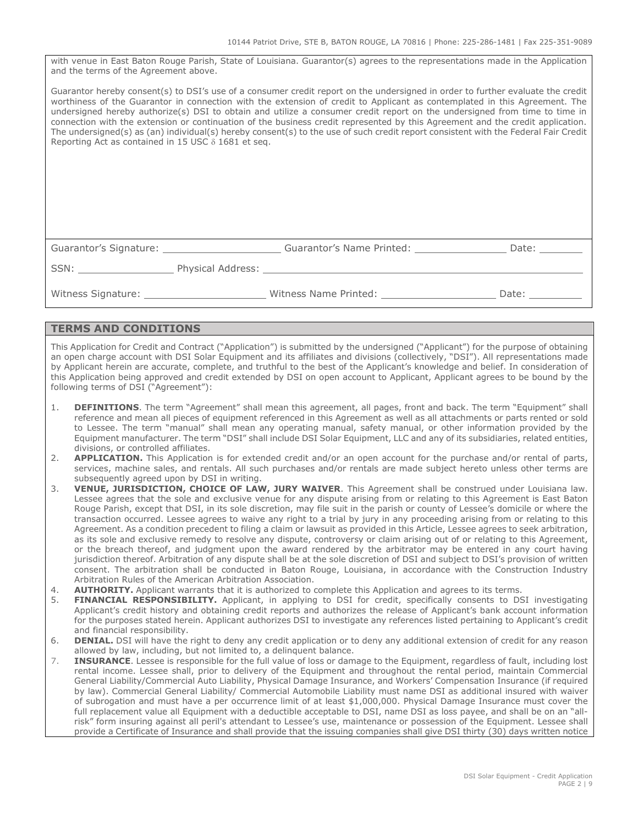with venue in East Baton Rouge Parish, State of Louisiana. Guarantor(s) agrees to the representations made in the Application and the terms of the Agreement above.

Guarantor hereby consent(s) to DSI's use of a consumer credit report on the undersigned in order to further evaluate the credit worthiness of the Guarantor in connection with the extension of credit to Applicant as contemplated in this Agreement. The undersigned hereby authorize(s) DSI to obtain and utilize a consumer credit report on the undersigned from time to time in connection with the extension or continuation of the business credit represented by this Agreement and the credit application. The undersigned(s) as (an) individual(s) hereby consent(s) to the use of such credit report consistent with the Federal Fair Credit Reporting Act as contained in 15 USC δ 1681 et seq.

Guarantor's Signature: The Suarantor's Name Printed: The Signature: Date: Date:

SSN: Physical Address: .

Witness Signature: \_\_\_\_\_\_\_\_\_\_\_\_\_\_\_\_\_\_\_\_\_\_\_\_\_\_Witness Name Printed: \_\_\_\_\_\_\_\_\_\_\_\_\_\_\_\_\_\_\_\_\_\_\_\_\_Date: \_\_\_\_\_\_\_

#### **TERMS AND CONDITIONS**

This Application for Credit and Contract ("Application") is submitted by the undersigned ("Applicant") for the purpose of obtaining an open charge account with DSI Solar Equipment and its affiliates and divisions (collectively, "DSI"). All representations made by Applicant herein are accurate, complete, and truthful to the best of the Applicant's knowledge and belief. In consideration of this Application being approved and credit extended by DSI on open account to Applicant, Applicant agrees to be bound by the following terms of DSI ("Agreement"):

- 1. **DEFINITIONS**. The term "Agreement" shall mean this agreement, all pages, front and back. The term "Equipment" shall reference and mean all pieces of equipment referenced in this Agreement as well as all attachments or parts rented or sold to Lessee. The term "manual" shall mean any operating manual, safety manual, or other information provided by the Equipment manufacturer. The term "DSI" shall include DSI Solar Equipment, LLC and any of its subsidiaries, related entities, divisions, or controlled affiliates.
- 2. **APPLICATION.** This Application is for extended credit and/or an open account for the purchase and/or rental of parts, services, machine sales, and rentals. All such purchases and/or rentals are made subject hereto unless other terms are subsequently agreed upon by DSI in writing.
- 3. **VENUE, JURISDICTION, CHOICE OF LAW, JURY WAIVER**. This Agreement shall be construed under Louisiana law. Lessee agrees that the sole and exclusive venue for any dispute arising from or relating to this Agreement is East Baton Rouge Parish, except that DSI, in its sole discretion, may file suit in the parish or county of Lessee's domicile or where the transaction occurred. Lessee agrees to waive any right to a trial by jury in any proceeding arising from or relating to this Agreement. As a condition precedent to filing a claim or lawsuit as provided in this Article, Lessee agrees to seek arbitration, as its sole and exclusive remedy to resolve any dispute, controversy or claim arising out of or relating to this Agreement, or the breach thereof, and judgment upon the award rendered by the arbitrator may be entered in any court having jurisdiction thereof. Arbitration of any dispute shall be at the sole discretion of DSI and subject to DSI's provision of written consent. The arbitration shall be conducted in Baton Rouge, Louisiana, in accordance with the Construction Industry Arbitration Rules of the American Arbitration Association.
- 4. **AUTHORITY.** Applicant warrants that it is authorized to complete this Application and agrees to its terms.<br>5. **FINANCIAL RESPONSIBILITY.** Applicant, in applying to DSI for credit, specifically consents to DS
- FINANCIAL RESPONSIBILITY. Applicant, in applying to DSI for credit, specifically consents to DSI investigating Applicant's credit history and obtaining credit reports and authorizes the release of Applicant's bank account information for the purposes stated herein. Applicant authorizes DSI to investigate any references listed pertaining to Applicant's credit and financial responsibility.
- 6. **DENIAL.** DSI will have the right to deny any credit application or to deny any additional extension of credit for any reason allowed by law, including, but not limited to, a delinquent balance.
- 7. **INSURANCE**. Lessee is responsible for the full value of loss or damage to the Equipment, regardless of fault, including lost rental income. Lessee shall, prior to delivery of the Equipment and throughout the rental period, maintain Commercial General Liability/Commercial Auto Liability, Physical Damage Insurance, and Workers' Compensation Insurance (if required by law). Commercial General Liability/ Commercial Automobile Liability must name DSI as additional insured with waiver of subrogation and must have a per occurrence limit of at least \$1,000,000. Physical Damage Insurance must cover the full replacement value all Equipment with a deductible acceptable to DSI, name DSI as loss payee, and shall be on an "allrisk" form insuring against all peril's attendant to Lessee's use, maintenance or possession of the Equipment. Lessee shall provide a Certificate of Insurance and shall provide that the issuing companies shall give DSI thirty (30) days written notice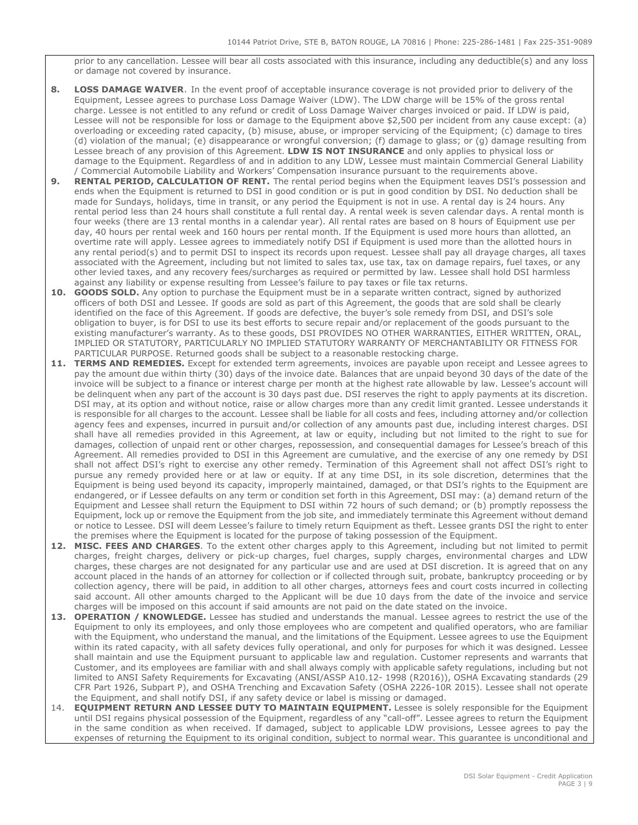prior to any cancellation. Lessee will bear all costs associated with this insurance, including any deductible(s) and any loss or damage not covered by insurance.

- **8. LOSS DAMAGE WAIVER**. In the event proof of acceptable insurance coverage is not provided prior to delivery of the Equipment, Lessee agrees to purchase Loss Damage Waiver (LDW). The LDW charge will be 15% of the gross rental charge. Lessee is not entitled to any refund or credit of Loss Damage Waiver charges invoiced or paid. If LDW is paid, Lessee will not be responsible for loss or damage to the Equipment above \$2,500 per incident from any cause except: (a) overloading or exceeding rated capacity, (b) misuse, abuse, or improper servicing of the Equipment; (c) damage to tires (d) violation of the manual; (e) disappearance or wrongful conversion; (f) damage to glass; or (g) damage resulting from Lessee breach of any provision of this Agreement. **LDW IS NOT INSURANCE** and only applies to physical loss or damage to the Equipment. Regardless of and in addition to any LDW, Lessee must maintain Commercial General Liability / Commercial Automobile Liability and Workers' Compensation insurance pursuant to the requirements above.
- **9. RENTAL PERIOD, CALCULATION OF RENT.** The rental period begins when the Equipment leaves DSI's possession and ends when the Equipment is returned to DSI in good condition or is put in good condition by DSI. No deduction shall be made for Sundays, holidays, time in transit, or any period the Equipment is not in use. A rental day is 24 hours. Any rental period less than 24 hours shall constitute a full rental day. A rental week is seven calendar days. A rental month is four weeks (there are 13 rental months in a calendar year). All rental rates are based on 8 hours of Equipment use per day, 40 hours per rental week and 160 hours per rental month. If the Equipment is used more hours than allotted, an overtime rate will apply. Lessee agrees to immediately notify DSI if Equipment is used more than the allotted hours in any rental period(s) and to permit DSI to inspect its records upon request. Lessee shall pay all drayage charges, all taxes associated with the Agreement, including but not limited to sales tax, use tax, tax on damage repairs, fuel taxes, or any other levied taxes, and any recovery fees/surcharges as required or permitted by law. Lessee shall hold DSI harmless against any liability or expense resulting from Lessee's failure to pay taxes or file tax returns.
- **10. GOODS SOLD.** Any option to purchase the Equipment must be in a separate written contract, signed by authorized officers of both DSI and Lessee. If goods are sold as part of this Agreement, the goods that are sold shall be clearly identified on the face of this Agreement. If goods are defective, the buyer's sole remedy from DSI, and DSI's sole obligation to buyer, is for DSI to use its best efforts to secure repair and/or replacement of the goods pursuant to the existing manufacturer's warranty. As to these goods, DSI PROVIDES NO OTHER WARRANTIES, EITHER WRITTEN, ORAL, IMPLIED OR STATUTORY, PARTICULARLY NO IMPLIED STATUTORY WARRANTY OF MERCHANTABILITY OR FITNESS FOR PARTICULAR PURPOSE. Returned goods shall be subject to a reasonable restocking charge.
- **11. TERMS AND REMEDIES.** Except for extended term agreements, invoices are payable upon receipt and Lessee agrees to pay the amount due within thirty (30) days of the invoice date. Balances that are unpaid beyond 30 days of the date of the invoice will be subject to a finance or interest charge per month at the highest rate allowable by law. Lessee's account will be delinquent when any part of the account is 30 days past due. DSI reserves the right to apply payments at its discretion. DSI may, at its option and without notice, raise or allow charges more than any credit limit granted. Lessee understands it is responsible for all charges to the account. Lessee shall be liable for all costs and fees, including attorney and/or collection agency fees and expenses, incurred in pursuit and/or collection of any amounts past due, including interest charges. DSI shall have all remedies provided in this Agreement, at law or equity, including but not limited to the right to sue for damages, collection of unpaid rent or other charges, repossession, and consequential damages for Lessee's breach of this Agreement. All remedies provided to DSI in this Agreement are cumulative, and the exercise of any one remedy by DSI shall not affect DSI's right to exercise any other remedy. Termination of this Agreement shall not affect DSI's right to pursue any remedy provided here or at law or equity. If at any time DSI, in its sole discretion, determines that the Equipment is being used beyond its capacity, improperly maintained, damaged, or that DSI's rights to the Equipment are endangered, or if Lessee defaults on any term or condition set forth in this Agreement, DSI may: (a) demand return of the Equipment and Lessee shall return the Equipment to DSI within 72 hours of such demand; or (b) promptly repossess the Equipment, lock up or remove the Equipment from the job site, and immediately terminate this Agreement without demand or notice to Lessee. DSI will deem Lessee's failure to timely return Equipment as theft. Lessee grants DSI the right to enter the premises where the Equipment is located for the purpose of taking possession of the Equipment.
- **12. MISC. FEES AND CHARGES**. To the extent other charges apply to this Agreement, including but not limited to permit charges, freight charges, delivery or pick-up charges, fuel charges, supply charges, environmental charges and LDW charges, these charges are not designated for any particular use and are used at DSI discretion. It is agreed that on any account placed in the hands of an attorney for collection or if collected through suit, probate, bankruptcy proceeding or by collection agency, there will be paid, in addition to all other charges, attorneys fees and court costs incurred in collecting said account. All other amounts charged to the Applicant will be due 10 days from the date of the invoice and service charges will be imposed on this account if said amounts are not paid on the date stated on the invoice.
- **13. OPERATION / KNOWLEDGE.** Lessee has studied and understands the manual. Lessee agrees to restrict the use of the Equipment to only its employees, and only those employees who are competent and qualified operators, who are familiar with the Equipment, who understand the manual, and the limitations of the Equipment. Lessee agrees to use the Equipment within its rated capacity, with all safety devices fully operational, and only for purposes for which it was designed. Lessee shall maintain and use the Equipment pursuant to applicable law and regulation. Customer represents and warrants that Customer, and its employees are familiar with and shall always comply with applicable safety regulations, including but not limited to ANSI Safety Requirements for Excavating (ANSI/ASSP A10.12- 1998 (R2016)), OSHA Excavating standards (29 CFR Part 1926, Subpart P), and OSHA Trenching and Excavation Safety (OSHA 2226-10R 2015). Lessee shall not operate the Equipment, and shall notify DSI, if any safety device or label is missing or damaged.
- 14. **EQUIPMENT RETURN AND LESSEE DUTY TO MAINTAIN EQUIPMENT.** Lessee is solely responsible for the Equipment until DSI regains physical possession of the Equipment, regardless of any "call-off". Lessee agrees to return the Equipment in the same condition as when received. If damaged, subject to applicable LDW provisions, Lessee agrees to pay the expenses of returning the Equipment to its original condition, subject to normal wear. This guarantee is unconditional and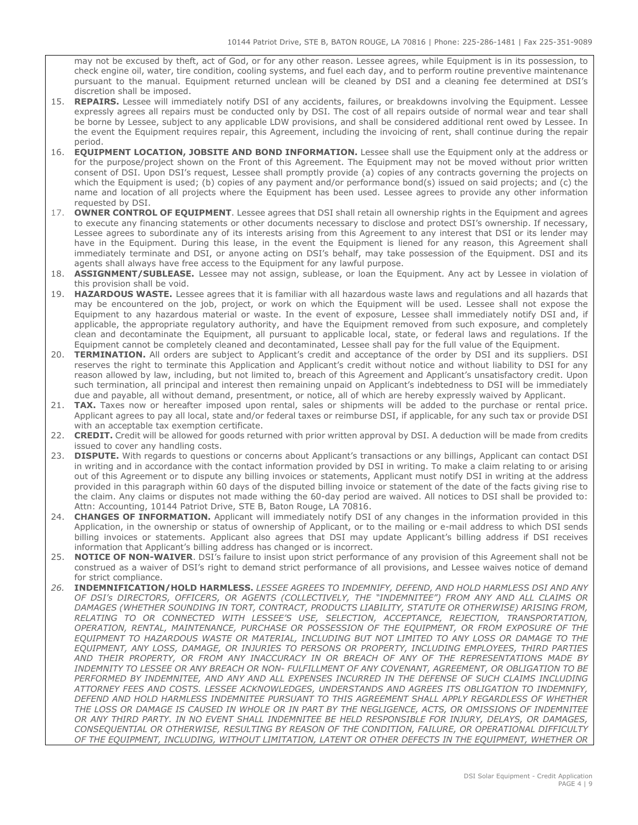may not be excused by theft, act of God, or for any other reason. Lessee agrees, while Equipment is in its possession, to check engine oil, water, tire condition, cooling systems, and fuel each day, and to perform routine preventive maintenance pursuant to the manual. Equipment returned unclean will be cleaned by DSI and a cleaning fee determined at DSI's discretion shall be imposed.

- 15. **REPAIRS.** Lessee will immediately notify DSI of any accidents, failures, or breakdowns involving the Equipment. Lessee expressly agrees all repairs must be conducted only by DSI. The cost of all repairs outside of normal wear and tear shall be borne by Lessee, subject to any applicable LDW provisions, and shall be considered additional rent owed by Lessee. In the event the Equipment requires repair, this Agreement, including the invoicing of rent, shall continue during the repair period.
- 16. **EQUIPMENT LOCATION, JOBSITE AND BOND INFORMATION.** Lessee shall use the Equipment only at the address or for the purpose/project shown on the Front of this Agreement. The Equipment may not be moved without prior written consent of DSI. Upon DSI's request, Lessee shall promptly provide (a) copies of any contracts governing the projects on which the Equipment is used; (b) copies of any payment and/or performance bond(s) issued on said projects; and (c) the name and location of all projects where the Equipment has been used. Lessee agrees to provide any other information requested by DSI.
- 17. **OWNER CONTROL OF EQUIPMENT**. Lessee agrees that DSI shall retain all ownership rights in the Equipment and agrees to execute any financing statements or other documents necessary to disclose and protect DSI's ownership. If necessary, Lessee agrees to subordinate any of its interests arising from this Agreement to any interest that DSI or its lender may have in the Equipment. During this lease, in the event the Equipment is liened for any reason, this Agreement shall immediately terminate and DSI, or anyone acting on DSI's behalf, may take possession of the Equipment. DSI and its agents shall always have free access to the Equipment for any lawful purpose.
- 18. **ASSIGNMENT/SUBLEASE.** Lessee may not assign, sublease, or loan the Equipment. Any act by Lessee in violation of this provision shall be void.
- 19. **HAZARDOUS WASTE.** Lessee agrees that it is familiar with all hazardous waste laws and regulations and all hazards that may be encountered on the job, project, or work on which the Equipment will be used. Lessee shall not expose the Equipment to any hazardous material or waste. In the event of exposure, Lessee shall immediately notify DSI and, if applicable, the appropriate regulatory authority, and have the Equipment removed from such exposure, and completely clean and decontaminate the Equipment, all pursuant to applicable local, state, or federal laws and regulations. If the Equipment cannot be completely cleaned and decontaminated, Lessee shall pay for the full value of the Equipment.
- 20. **TERMINATION.** All orders are subject to Applicant's credit and acceptance of the order by DSI and its suppliers. DSI reserves the right to terminate this Application and Applicant's credit without notice and without liability to DSI for any reason allowed by law, including, but not limited to, breach of this Agreement and Applicant's unsatisfactory credit. Upon such termination, all principal and interest then remaining unpaid on Applicant's indebtedness to DSI will be immediately due and payable, all without demand, presentment, or notice, all of which are hereby expressly waived by Applicant.
- 21. **TAX.** Taxes now or hereafter imposed upon rental, sales or shipments will be added to the purchase or rental price. Applicant agrees to pay all local, state and/or federal taxes or reimburse DSI, if applicable, for any such tax or provide DSI with an acceptable tax exemption certificate.
- 22. **CREDIT.** Credit will be allowed for goods returned with prior written approval by DSI. A deduction will be made from credits issued to cover any handling costs.
- 23. **DISPUTE.** With regards to questions or concerns about Applicant's transactions or any billings, Applicant can contact DSI in writing and in accordance with the contact information provided by DSI in writing. To make a claim relating to or arising out of this Agreement or to dispute any billing invoices or statements, Applicant must notify DSI in writing at the address provided in this paragraph within 60 days of the disputed billing invoice or statement of the date of the facts giving rise to the claim. Any claims or disputes not made withing the 60-day period are waived. All notices to DSI shall be provided to: Attn: Accounting, 10144 Patriot Drive, STE B, Baton Rouge, LA 70816.
- 24. **CHANGES OF INFORMATION.** Applicant will immediately notify DSI of any changes in the information provided in this Application, in the ownership or status of ownership of Applicant, or to the mailing or e-mail address to which DSI sends billing invoices or statements. Applicant also agrees that DSI may update Applicant's billing address if DSI receives information that Applicant's billing address has changed or is incorrect.
- 25. **NOTICE OF NON-WAIVER**. DSI's failure to insist upon strict performance of any provision of this Agreement shall not be construed as a waiver of DSI's right to demand strict performance of all provisions, and Lessee waives notice of demand for strict compliance.
- *26.* **INDEMNIFICATION/HOLD HARMLESS.** *LESSEE AGREES TO INDEMNIFY, DEFEND, AND HOLD HARMLESS DSI AND ANY OF DSI's DIRECTORS, OFFICERS, OR AGENTS (COLLECTIVELY, THE "INDEMNITEE") FROM ANY AND ALL CLAIMS OR DAMAGES (WHETHER SOUNDING IN TORT, CONTRACT, PRODUCTS LIABILITY, STATUTE OR OTHERWISE) ARISING FROM, RELATING TO OR CONNECTED WITH LESSEE'S USE, SELECTION, ACCEPTANCE, REJECTION, TRANSPORTATION, OPERATION, RENTAL, MAINTENANCE, PURCHASE OR POSSESSION OF THE EQUIPMENT, OR FROM EXPOSURE OF THE EQUIPMENT TO HAZARDOUS WASTE OR MATERIAL, INCLUDING BUT NOT LIMITED TO ANY LOSS OR DAMAGE TO THE EQUIPMENT, ANY LOSS, DAMAGE, OR INJURIES TO PERSONS OR PROPERTY, INCLUDING EMPLOYEES, THIRD PARTIES AND THEIR PROPERTY, OR FROM ANY INACCURACY IN OR BREACH OF ANY OF THE REPRESENTATIONS MADE BY INDEMNITY TO LESSEE OR ANY BREACH OR NON- FULFILLMENT OF ANY COVENANT, AGREEMENT, OR OBLIGATION TO BE*  PERFORMED BY INDEMNITEE, AND ANY AND ALL EXPENSES INCURRED IN THE DEFENSE OF SUCH CLAIMS INCLUDING *ATTORNEY FEES AND COSTS. LESSEE ACKNOWLEDGES, UNDERSTANDS AND AGREES ITS OBLIGATION TO INDEMNIFY, DEFEND AND HOLD HARMLESS INDEMNITEE PURSUANT TO THIS AGREEMENT SHALL APPLY REGARDLESS OF WHETHER THE LOSS OR DAMAGE IS CAUSED IN WHOLE OR IN PART BY THE NEGLIGENCE, ACTS, OR OMISSIONS OF INDEMNITEE OR ANY THIRD PARTY. IN NO EVENT SHALL INDEMNITEE BE HELD RESPONSIBLE FOR INJURY, DELAYS, OR DAMAGES, CONSEQUENTIAL OR OTHERWISE, RESULTING BY REASON OF THE CONDITION, FAILURE, OR OPERATIONAL DIFFICULTY OF THE EQUIPMENT, INCLUDING, WITHOUT LIMITATION, LATENT OR OTHER DEFECTS IN THE EQUIPMENT, WHETHER OR*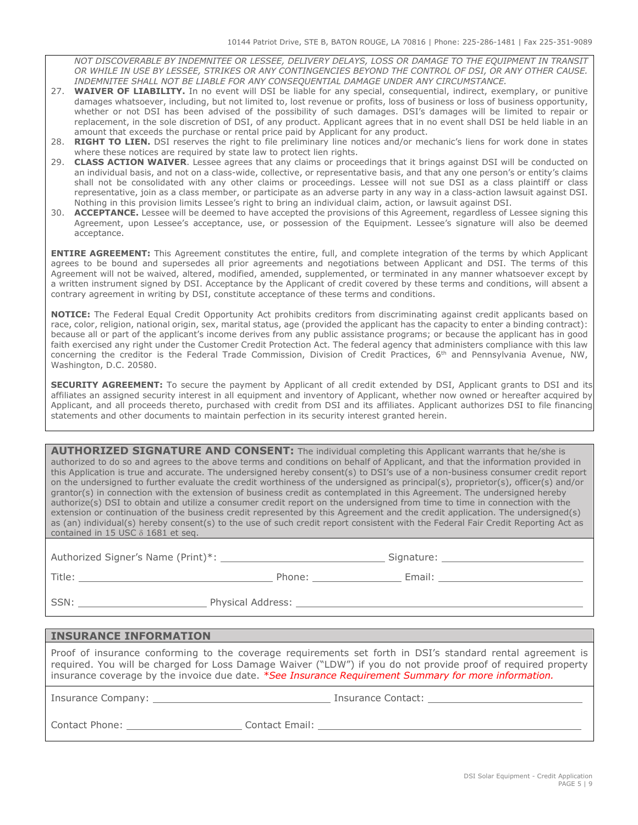*NOT DISCOVERABLE BY INDEMNITEE OR LESSEE, DELIVERY DELAYS, LOSS OR DAMAGE TO THE EQUIPMENT IN TRANSIT OR WHILE IN USE BY LESSEE, STRIKES OR ANY CONTINGENCIES BEYOND THE CONTROL OF DSI, OR ANY OTHER CAUSE. INDEMNITEE SHALL NOT BE LIABLE FOR ANY CONSEQUENTIAL DAMAGE UNDER ANY CIRCUMSTANCE.*

- 27. **WAIVER OF LIABILITY.** In no event will DSI be liable for any special, consequential, indirect, exemplary, or punitive damages whatsoever, including, but not limited to, lost revenue or profits, loss of business or loss of business opportunity, whether or not DSI has been advised of the possibility of such damages. DSI's damages will be limited to repair or replacement, in the sole discretion of DSI, of any product. Applicant agrees that in no event shall DSI be held liable in an amount that exceeds the purchase or rental price paid by Applicant for any product.
- 28. **RIGHT TO LIEN.** DSI reserves the right to file preliminary line notices and/or mechanic's liens for work done in states where these notices are required by state law to protect lien rights.
- 29. **CLASS ACTION WAIVER**. Lessee agrees that any claims or proceedings that it brings against DSI will be conducted on an individual basis, and not on a class-wide, collective, or representative basis, and that any one person's or entity's claims shall not be consolidated with any other claims or proceedings. Lessee will not sue DSI as a class plaintiff or class representative, join as a class member, or participate as an adverse party in any way in a class-action lawsuit against DSI. Nothing in this provision limits Lessee's right to bring an individual claim, action, or lawsuit against DSI.
- 30. **ACCEPTANCE.** Lessee will be deemed to have accepted the provisions of this Agreement, regardless of Lessee signing this Agreement, upon Lessee's acceptance, use, or possession of the Equipment. Lessee's signature will also be deemed acceptance.

**ENTIRE AGREEMENT:** This Agreement constitutes the entire, full, and complete integration of the terms by which Applicant agrees to be bound and supersedes all prior agreements and negotiations between Applicant and DSI. The terms of this Agreement will not be waived, altered, modified, amended, supplemented, or terminated in any manner whatsoever except by a written instrument signed by DSI. Acceptance by the Applicant of credit covered by these terms and conditions, will absent a contrary agreement in writing by DSI, constitute acceptance of these terms and conditions.

**NOTICE:** The Federal Equal Credit Opportunity Act prohibits creditors from discriminating against credit applicants based on race, color, religion, national origin, sex, marital status, age (provided the applicant has the capacity to enter a binding contract): because all or part of the applicant's income derives from any public assistance programs; or because the applicant has in good faith exercised any right under the Customer Credit Protection Act. The federal agency that administers compliance with this law concerning the creditor is the Federal Trade Commission, Division of Credit Practices, 6<sup>th</sup> and Pennsylvania Avenue, NW, Washington, D.C. 20580.

**SECURITY AGREEMENT:** To secure the payment by Applicant of all credit extended by DSI, Applicant grants to DSI and its affiliates an assigned security interest in all equipment and inventory of Applicant, whether now owned or hereafter acquired by Applicant, and all proceeds thereto, purchased with credit from DSI and its affiliates. Applicant authorizes DSI to file financing statements and other documents to maintain perfection in its security interest granted herein.

**AUTHORIZED SIGNATURE AND CONSENT:** The individual completing this Applicant warrants that he/she is authorized to do so and agrees to the above terms and conditions on behalf of Applicant, and that the information provided in this Application is true and accurate. The undersigned hereby consent(s) to DSI's use of a non-business consumer credit report on the undersigned to further evaluate the credit worthiness of the undersigned as principal(s), proprietor(s), officer(s) and/or grantor(s) in connection with the extension of business credit as contemplated in this Agreement. The undersigned hereby authorize(s) DSI to obtain and utilize a consumer credit report on the undersigned from time to time in connection with the extension or continuation of the business credit represented by this Agreement and the credit application. The undersigned(s) as (an) individual(s) hereby consent(s) to the use of such credit report consistent with the Federal Fair Credit Reporting Act as contained in 15 USC δ 1681 et seq.

Authorized Signer's Name (Print)\*: Signature: .

Title: Phone: Email: .

SSN: Note and the SSN: Physical Address:

#### **INSURANCE INFORMATION**

Proof of insurance conforming to the coverage requirements set forth in DSI's standard rental agreement is required. You will be charged for Loss Damage Waiver ("LDW") if you do not provide proof of required property insurance coverage by the invoice due date. *\*See Insurance Requirement Summary for more information.*

Insurance Company: <u>Insurance Company:</u> Insurance Contact: Letterate Contact: Letterate Contact: Letterate Contact: Letterate Contact: Letterate Contact: Letterate Contact: Letterate Contact: Letterate Contact: Letterate C

Contact Phone: Contact Email: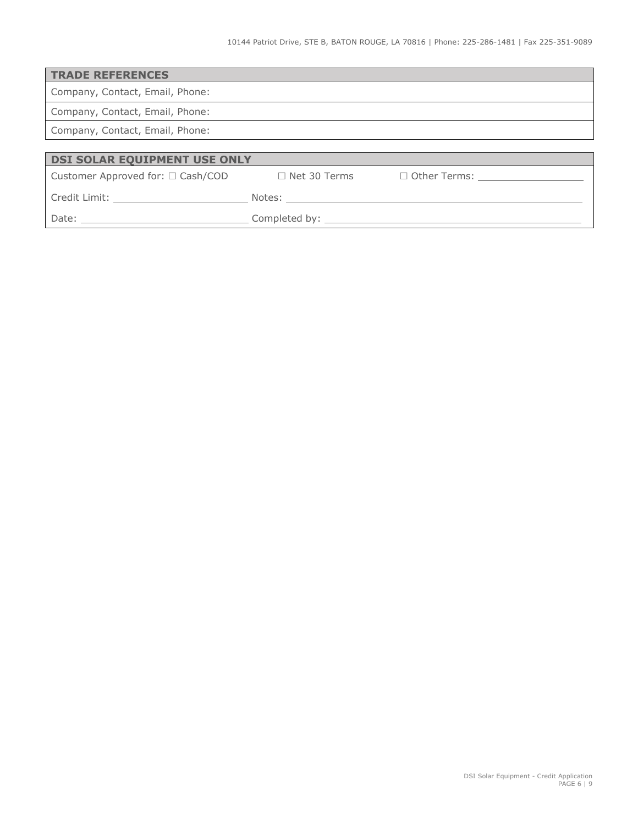| <b>TRADE REFERENCES</b>                            |                     |                                            |  |  |  |
|----------------------------------------------------|---------------------|--------------------------------------------|--|--|--|
| Company, Contact, Email, Phone:                    |                     |                                            |  |  |  |
| Company, Contact, Email, Phone:                    |                     |                                            |  |  |  |
| Company, Contact, Email, Phone:                    |                     |                                            |  |  |  |
|                                                    |                     |                                            |  |  |  |
| DSI SOLAR EQUIPMENT USE ONLY                       |                     |                                            |  |  |  |
| Customer Approved for: □ Cash/COD                  | $\Box$ Net 30 Terms | □ Other Terms: <u>____________________</u> |  |  |  |
| Credit Limit: <u>_____________________________</u> |                     |                                            |  |  |  |
|                                                    |                     |                                            |  |  |  |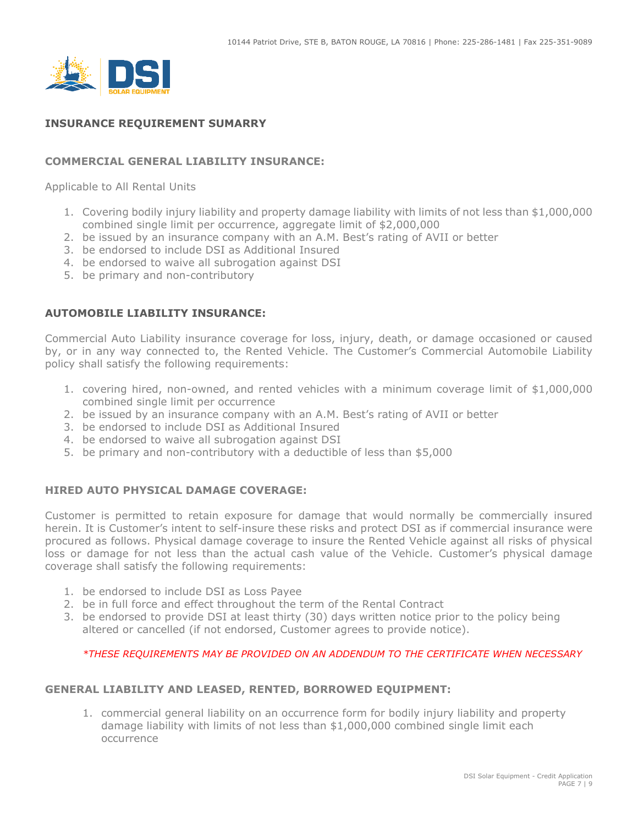

# **INSURANCE REQUIREMENT SUMARRY**

# **COMMERCIAL GENERAL LIABILITY INSURANCE:**

Applicable to All Rental Units

- 1. Covering bodily injury liability and property damage liability with limits of not less than \$1,000,000 combined single limit per occurrence, aggregate limit of \$2,000,000
- 2. be issued by an insurance company with an A.M. Best's rating of AVII or better
- 3. be endorsed to include DSI as Additional Insured
- 4. be endorsed to waive all subrogation against DSI
- 5. be primary and non-contributory

## **AUTOMOBILE LIABILITY INSURANCE:**

Commercial Auto Liability insurance coverage for loss, injury, death, or damage occasioned or caused by, or in any way connected to, the Rented Vehicle. The Customer's Commercial Automobile Liability policy shall satisfy the following requirements:

- 1. covering hired, non-owned, and rented vehicles with a minimum coverage limit of \$1,000,000 combined single limit per occurrence
- 2. be issued by an insurance company with an A.M. Best's rating of AVII or better
- 3. be endorsed to include DSI as Additional Insured
- 4. be endorsed to waive all subrogation against DSI
- 5. be primary and non-contributory with a deductible of less than \$5,000

## **HIRED AUTO PHYSICAL DAMAGE COVERAGE:**

Customer is permitted to retain exposure for damage that would normally be commercially insured herein. It is Customer's intent to self-insure these risks and protect DSI as if commercial insurance were procured as follows. Physical damage coverage to insure the Rented Vehicle against all risks of physical loss or damage for not less than the actual cash value of the Vehicle. Customer's physical damage coverage shall satisfy the following requirements:

- 1. be endorsed to include DSI as Loss Payee
- 2. be in full force and effect throughout the term of the Rental Contract
- 3. be endorsed to provide DSI at least thirty (30) days written notice prior to the policy being altered or cancelled (if not endorsed, Customer agrees to provide notice).

#### *\*THESE REQUIREMENTS MAY BE PROVIDED ON AN ADDENDUM TO THE CERTIFICATE WHEN NECESSARY*

## **GENERAL LIABILITY AND LEASED, RENTED, BORROWED EQUIPMENT:**

1. commercial general liability on an occurrence form for bodily injury liability and property damage liability with limits of not less than \$1,000,000 combined single limit each occurrence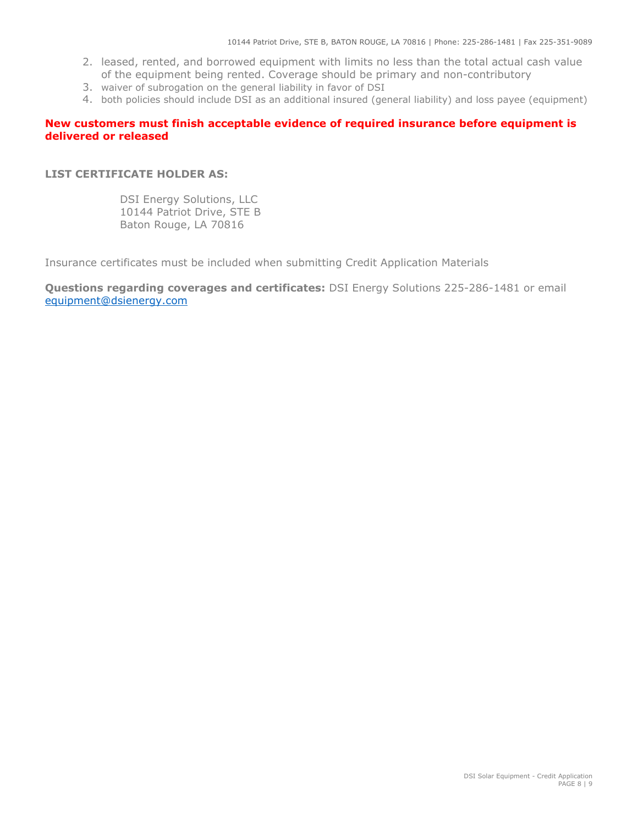- 2. leased, rented, and borrowed equipment with limits no less than the total actual cash value of the equipment being rented. Coverage should be primary and non-contributory
- 3. waiver of subrogation on the general liability in favor of DSI
- 4. both policies should include DSI as an additional insured (general liability) and loss payee (equipment)

## **New customers must finish acceptable evidence of required insurance before equipment is delivered or released**

#### **LIST CERTIFICATE HOLDER AS:**

DSI Energy Solutions, LLC 10144 Patriot Drive, STE B Baton Rouge, LA 70816

Insurance certificates must be included when submitting Credit Application Materials

**Questions regarding coverages and certificates:** DSI Energy Solutions 225-286-1481 or email [equipment@dsienergy.com](mailto:equipment@dsienergy.com)